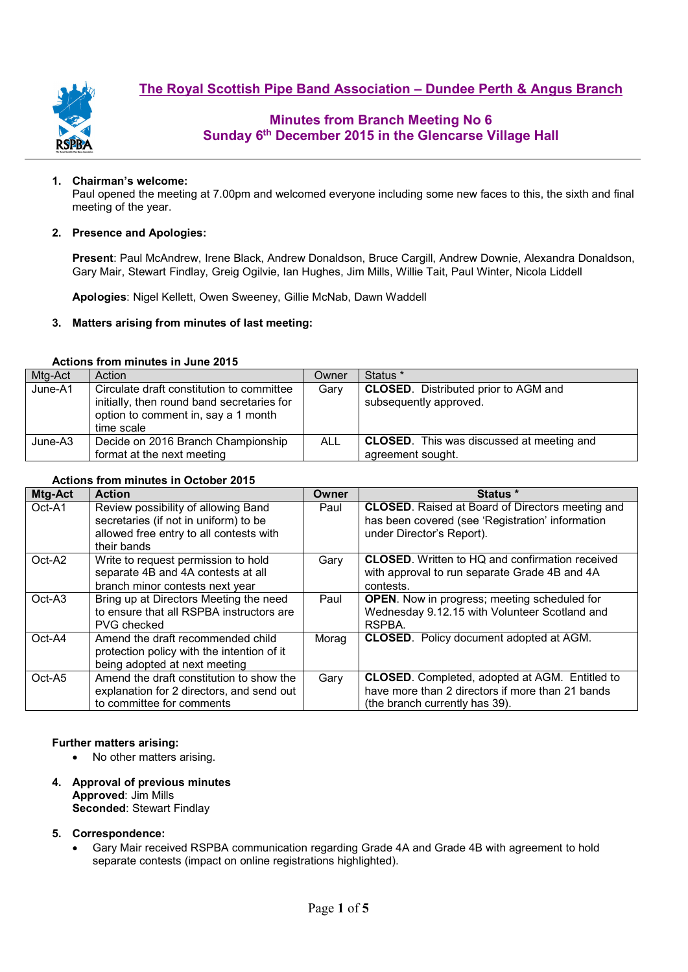**The Royal Scottish Pipe Band Association – Dundee Perth & Angus Branch**



## **Minutes from Branch Meeting No 6 Sunday 6th December 2015 in the Glencarse Village Hall**

#### **1. Chairman's welcome:**

Paul opened the meeting at 7.00pm and welcomed everyone including some new faces to this, the sixth and final meeting of the year.

#### **2. Presence and Apologies:**

**Present**: Paul McAndrew, Irene Black, Andrew Donaldson, Bruce Cargill, Andrew Downie, Alexandra Donaldson, Gary Mair, Stewart Findlay, Greig Ogilvie, Ian Hughes, Jim Mills, Willie Tait, Paul Winter, Nicola Liddell

**Apologies**: Nigel Kellett, Owen Sweeney, Gillie McNab, Dawn Waddell

#### **3. Matters arising from minutes of last meeting:**

#### **Actions from minutes in June 2015**

| Mtg-Act | Action                                     | Owner      | Status *                                         |
|---------|--------------------------------------------|------------|--------------------------------------------------|
| June-A1 | Circulate draft constitution to committee  | Gary       | <b>CLOSED.</b> Distributed prior to AGM and      |
|         | initially, then round band secretaries for |            | subsequently approved.                           |
|         | option to comment in, say a 1 month        |            |                                                  |
|         | time scale                                 |            |                                                  |
| June-A3 | Decide on 2016 Branch Championship         | <b>ALL</b> | <b>CLOSED.</b> This was discussed at meeting and |
|         | format at the next meeting                 |            | agreement sought.                                |

#### **Actions from minutes in October 2015**

| Mtg-Act | <b>Action</b>                                                                                                                          | <b>Owner</b> | Status *                                                                                                                                    |  |  |
|---------|----------------------------------------------------------------------------------------------------------------------------------------|--------------|---------------------------------------------------------------------------------------------------------------------------------------------|--|--|
| Oct-A1  | Review possibility of allowing Band<br>secretaries (if not in uniform) to be<br>allowed free entry to all contests with<br>their bands | Paul         | <b>CLOSED.</b> Raised at Board of Directors meeting and<br>has been covered (see 'Registration' information<br>under Director's Report).    |  |  |
| Oct-A2  | Write to request permission to hold<br>separate 4B and 4A contests at all<br>branch minor contests next year                           | Gary         | <b>CLOSED.</b> Written to HQ and confirmation received<br>with approval to run separate Grade 4B and 4A<br>contests.                        |  |  |
| Oct-A3  | Bring up at Directors Meeting the need<br>to ensure that all RSPBA instructors are<br>PVG checked                                      | Paul         | <b>OPEN.</b> Now in progress; meeting scheduled for<br>Wednesday 9.12.15 with Volunteer Scotland and<br>RSPBA.                              |  |  |
| Oct-A4  | Amend the draft recommended child<br>protection policy with the intention of it<br>being adopted at next meeting                       | Morag        | <b>CLOSED.</b> Policy document adopted at AGM.                                                                                              |  |  |
| Oct-A5  | Amend the draft constitution to show the<br>explanation for 2 directors, and send out<br>to committee for comments                     | Gary         | <b>CLOSED.</b> Completed, adopted at AGM. Entitled to<br>have more than 2 directors if more than 21 bands<br>(the branch currently has 39). |  |  |

#### **Further matters arising:**

- No other matters arising.
- **4. Approval of previous minutes Approved**: Jim Mills **Seconded**: Stewart Findlay

#### **5. Correspondence:**

• Gary Mair received RSPBA communication regarding Grade 4A and Grade 4B with agreement to hold separate contests (impact on online registrations highlighted).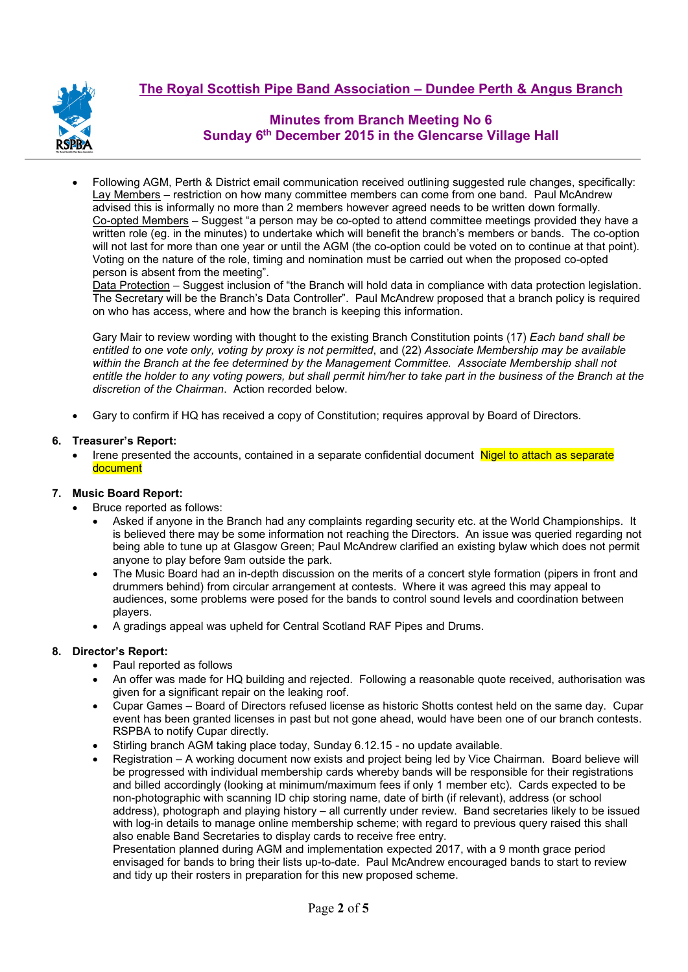

• Following AGM, Perth & District email communication received outlining suggested rule changes, specifically: Lay Members – restriction on how many committee members can come from one band. Paul McAndrew advised this is informally no more than 2 members however agreed needs to be written down formally. Co-opted Members – Suggest "a person may be co-opted to attend committee meetings provided they have a written role (eg. in the minutes) to undertake which will benefit the branch's members or bands. The co-option will not last for more than one year or until the AGM (the co-option could be voted on to continue at that point). Voting on the nature of the role, timing and nomination must be carried out when the proposed co-opted person is absent from the meeting".

Data Protection – Suggest inclusion of "the Branch will hold data in compliance with data protection legislation. The Secretary will be the Branch's Data Controller". Paul McAndrew proposed that a branch policy is required on who has access, where and how the branch is keeping this information.

Gary Mair to review wording with thought to the existing Branch Constitution points (17) *Each band shall be entitled to one vote only, voting by proxy is not permitted*, and (22) *Associate Membership may be available within the Branch at the fee determined by the Management Committee. Associate Membership shall not entitle the holder to any voting powers, but shall permit him/her to take part in the business of the Branch at the discretion of the Chairman*. Action recorded below.

• Gary to confirm if HQ has received a copy of Constitution; requires approval by Board of Directors.

### **6. Treasurer's Report:**

Irene presented the accounts, contained in a separate confidential document Nigel to attach as separate document

### **7. Music Board Report:**

- Bruce reported as follows:
	- Asked if anyone in the Branch had any complaints regarding security etc. at the World Championships. It is believed there may be some information not reaching the Directors. An issue was queried regarding not being able to tune up at Glasgow Green; Paul McAndrew clarified an existing bylaw which does not permit anyone to play before 9am outside the park.
	- The Music Board had an in-depth discussion on the merits of a concert style formation (pipers in front and drummers behind) from circular arrangement at contests. Where it was agreed this may appeal to audiences, some problems were posed for the bands to control sound levels and coordination between players.
	- A gradings appeal was upheld for Central Scotland RAF Pipes and Drums.

### **8. Director's Report:**

- Paul reported as follows
- An offer was made for HQ building and rejected. Following a reasonable quote received, authorisation was given for a significant repair on the leaking roof.
- Cupar Games Board of Directors refused license as historic Shotts contest held on the same day. Cupar event has been granted licenses in past but not gone ahead, would have been one of our branch contests. RSPBA to notify Cupar directly.
- Stirling branch AGM taking place today, Sunday 6.12.15 no update available.
- Registration A working document now exists and project being led by Vice Chairman. Board believe will be progressed with individual membership cards whereby bands will be responsible for their registrations and billed accordingly (looking at minimum/maximum fees if only 1 member etc). Cards expected to be non-photographic with scanning ID chip storing name, date of birth (if relevant), address (or school address), photograph and playing history – all currently under review. Band secretaries likely to be issued with log-in details to manage online membership scheme; with regard to previous query raised this shall also enable Band Secretaries to display cards to receive free entry.

Presentation planned during AGM and implementation expected 2017, with a 9 month grace period envisaged for bands to bring their lists up-to-date. Paul McAndrew encouraged bands to start to review and tidy up their rosters in preparation for this new proposed scheme.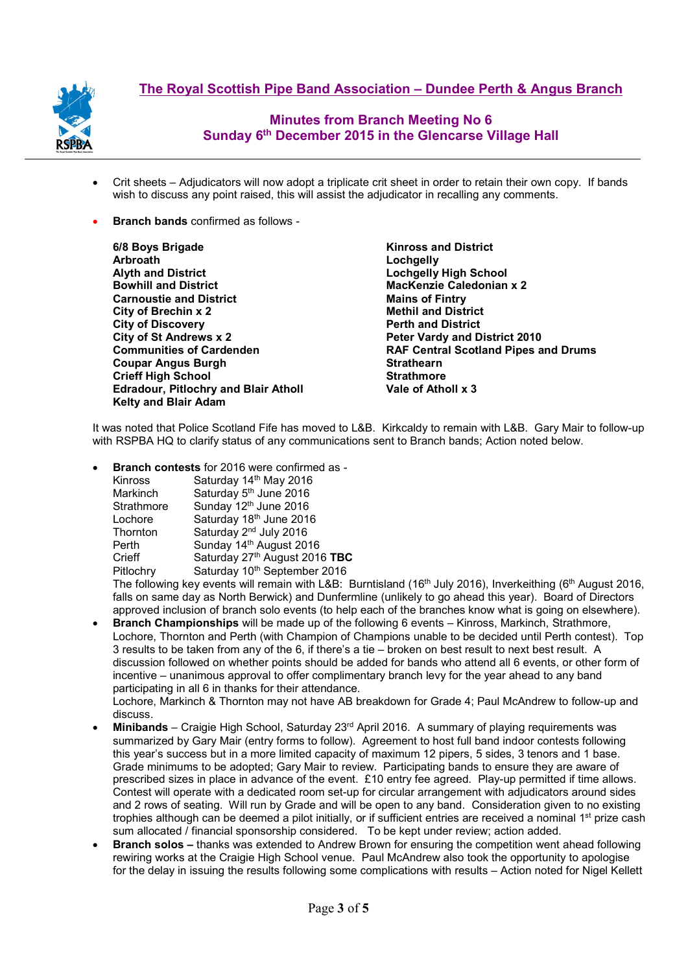

- Crit sheets Adjudicators will now adopt a triplicate crit sheet in order to retain their own copy. If bands wish to discuss any point raised, this will assist the adjudicator in recalling any comments.
- **Branch bands** confirmed as follows -

**6/8 Boys Brigade Kinross and District Arbroath Lochgelly Alyth and District Lochgelly High School Carnoustie and District Mains of Fintry City of Brechin x 2 Methil and District City of Discovery<br>City of St Andrews x 2 City of St Andrews x 2 Peter Vardy and District 2010 Coupar Angus Burgh Strathearn Crieff High School Strathmore Edradour, Pitlochry and Blair Atholl Kelty and Blair Adam**

**MacKenzie Caledonian x 2**<br>Mains of Fintry **RAF Central Scotland Pipes and Drums**<br>Strathearn

It was noted that Police Scotland Fife has moved to L&B. Kirkcaldy to remain with L&B. Gary Mair to follow-up with RSPBA HQ to clarify status of any communications sent to Branch bands; Action noted below.

• **Branch contests** for 2016 were confirmed as -

| <b>Kinross</b> | Saturday 14th May 2016                   |
|----------------|------------------------------------------|
| Markinch       | Saturday 5 <sup>th</sup> June 2016       |
| Strathmore     | Sunday 12th June 2016                    |
| Lochore        | Saturday 18th June 2016                  |
| Thornton       | Saturday 2 <sup>nd</sup> July 2016       |
| Perth          | Sunday 14 <sup>th</sup> August 2016      |
| Crieff         | Saturday 27th August 2016 TBC            |
| Pitlochry      | Saturday 10 <sup>th</sup> September 2016 |

The following key events will remain with L&B: Burntisland (16<sup>th</sup> July 2016), Inverkeithing (6<sup>th</sup> August 2016, falls on same day as North Berwick) and Dunfermline (unlikely to go ahead this year). Board of Directors approved inclusion of branch solo events (to help each of the branches know what is going on elsewhere).

• **Branch Championships** will be made up of the following 6 events – Kinross, Markinch, Strathmore, Lochore, Thornton and Perth (with Champion of Champions unable to be decided until Perth contest). Top 3 results to be taken from any of the 6, if there's a tie – broken on best result to next best result. A discussion followed on whether points should be added for bands who attend all 6 events, or other form of incentive – unanimous approval to offer complimentary branch levy for the year ahead to any band participating in all 6 in thanks for their attendance.

Lochore, Markinch & Thornton may not have AB breakdown for Grade 4; Paul McAndrew to follow-up and discuss.

- **Minibands** Craigie High School, Saturday 23rd April 2016. A summary of playing requirements was summarized by Gary Mair (entry forms to follow). Agreement to host full band indoor contests following this year's success but in a more limited capacity of maximum 12 pipers, 5 sides, 3 tenors and 1 base. Grade minimums to be adopted; Gary Mair to review. Participating bands to ensure they are aware of prescribed sizes in place in advance of the event. £10 entry fee agreed. Play-up permitted if time allows. Contest will operate with a dedicated room set-up for circular arrangement with adjudicators around sides and 2 rows of seating. Will run by Grade and will be open to any band. Consideration given to no existing trophies although can be deemed a pilot initially, or if sufficient entries are received a nominal 1<sup>st</sup> prize cash sum allocated / financial sponsorship considered. To be kept under review; action added.
- **Branch solos** thanks was extended to Andrew Brown for ensuring the competition went ahead following rewiring works at the Craigie High School venue. Paul McAndrew also took the opportunity to apologise for the delay in issuing the results following some complications with results – Action noted for Nigel Kellett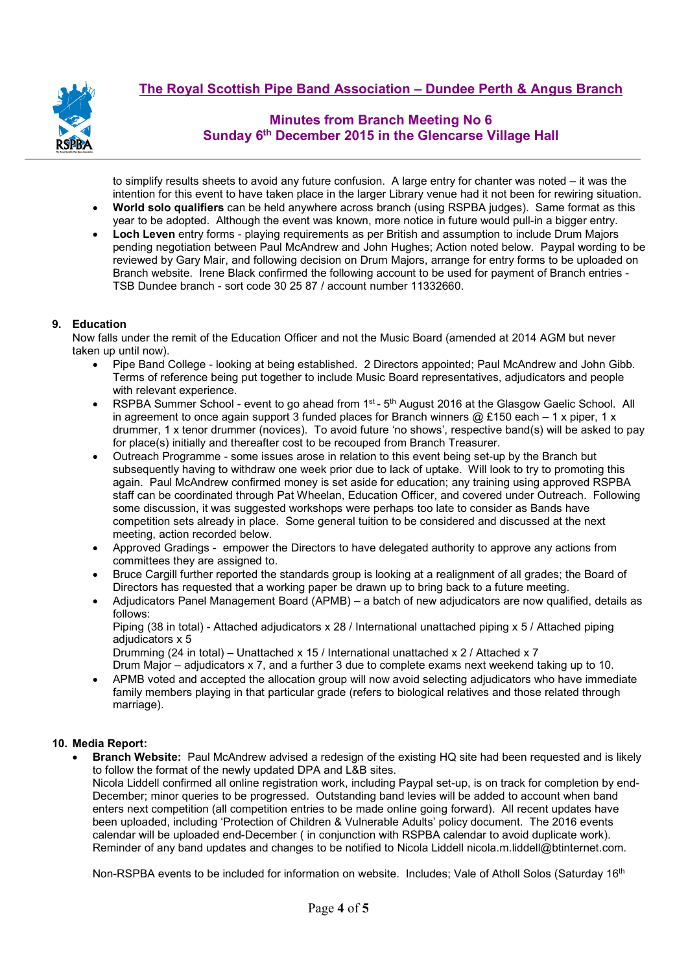

to simplify results sheets to avoid any future confusion. A large entry for chanter was noted – it was the intention for this event to have taken place in the larger Library venue had it not been for rewiring situation.

- **World solo qualifiers** can be held anywhere across branch (using RSPBA judges). Same format as this year to be adopted. Although the event was known, more notice in future would pull-in a bigger entry.
- **Loch Leven** entry forms playing requirements as per British and assumption to include Drum Majors pending negotiation between Paul McAndrew and John Hughes; Action noted below. Paypal wording to be reviewed by Gary Mair, and following decision on Drum Majors, arrange for entry forms to be uploaded on Branch website. Irene Black confirmed the following account to be used for payment of Branch entries - TSB Dundee branch - sort code 30 25 87 / account number 11332660.

### **9. Education**

Now falls under the remit of the Education Officer and not the Music Board (amended at 2014 AGM but never taken up until now).

- Pipe Band College looking at being established. 2 Directors appointed; Paul McAndrew and John Gibb. Terms of reference being put together to include Music Board representatives, adjudicators and people with relevant experience.
- RSPBA Summer School event to go ahead from 1<sup>st</sup> 5<sup>th</sup> August 2016 at the Glasgow Gaelic School. All in agreement to once again support 3 funded places for Branch winners  $\omega$  £150 each – 1 x piper, 1 x drummer, 1 x tenor drummer (novices). To avoid future 'no shows', respective band(s) will be asked to pay for place(s) initially and thereafter cost to be recouped from Branch Treasurer.
- Outreach Programme some issues arose in relation to this event being set-up by the Branch but subsequently having to withdraw one week prior due to lack of uptake. Will look to try to promoting this again. Paul McAndrew confirmed money is set aside for education; any training using approved RSPBA staff can be coordinated through Pat Wheelan, Education Officer, and covered under Outreach. Following some discussion, it was suggested workshops were perhaps too late to consider as Bands have competition sets already in place. Some general tuition to be considered and discussed at the next meeting, action recorded below.
- Approved Gradings empower the Directors to have delegated authority to approve any actions from committees they are assigned to.
- Bruce Cargill further reported the standards group is looking at a realignment of all grades; the Board of Directors has requested that a working paper be drawn up to bring back to a future meeting.
- Adjudicators Panel Management Board (APMB) a batch of new adjudicators are now qualified, details as follows:

Piping (38 in total) - Attached adjudicators x 28 / International unattached piping x 5 / Attached piping adjudicators x 5

Drumming (24 in total) – Unattached x 15 / International unattached x 2 / Attached x 7 Drum Major – adjudicators x 7, and a further 3 due to complete exams next weekend taking up to 10.

• APMB voted and accepted the allocation group will now avoid selecting adjudicators who have immediate family members playing in that particular grade (refers to biological relatives and those related through marriage).

### **10. Media Report:**

• **Branch Website:** Paul McAndrew advised a redesign of the existing HQ site had been requested and is likely to follow the format of the newly updated DPA and L&B sites.

Nicola Liddell confirmed all online registration work, including Paypal set-up, is on track for completion by end-December; minor queries to be progressed. Outstanding band levies will be added to account when band enters next competition (all competition entries to be made online going forward). All recent updates have been uploaded, including 'Protection of Children & Vulnerable Adults' policy document. The 2016 events calendar will be uploaded end-December ( in conjunction with RSPBA calendar to avoid duplicate work). Reminder of any band updates and changes to be notified to Nicola Liddell nicola.m.liddell@btinternet.com.

Non-RSPBA events to be included for information on website. Includes; Vale of Atholl Solos (Saturday 16<sup>th</sup>